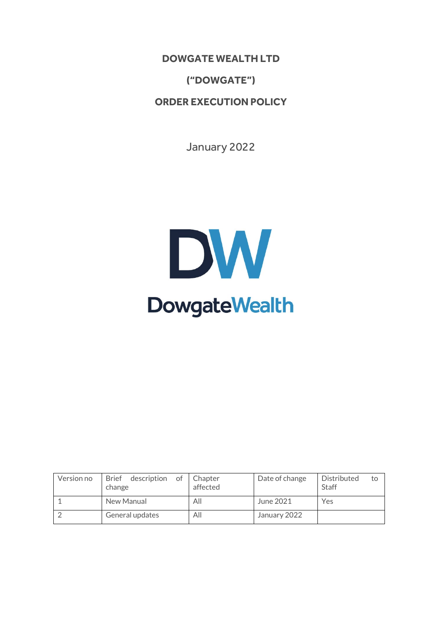**DOWGATE WEALTH LTD**

**("DOWGATE")**

**ORDER EXECUTION POLICY**

January 2022

# DW **DowgateWealth**

| Version no | Brief description<br>of<br>change | Chapter<br>affected | Date of change | Distributed<br>to<br><b>Staff</b> |
|------------|-----------------------------------|---------------------|----------------|-----------------------------------|
|            | New Manual                        | All                 | June 2021      | Yes                               |
|            | General updates                   | All                 | January 2022   |                                   |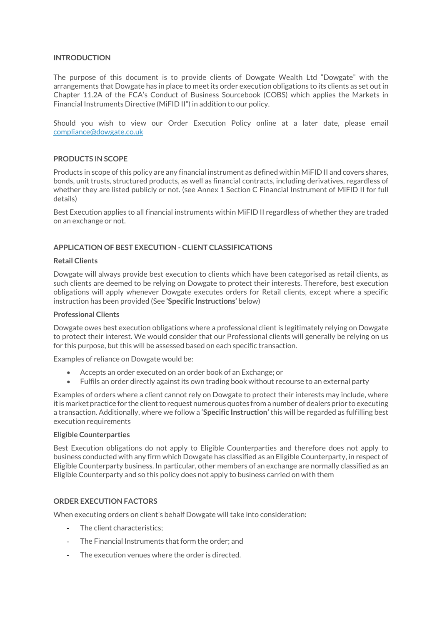## **INTRODUCTION**

The purpose of this document is to provide clients of Dowgate Wealth Ltd "Dowgate" with the arrangements that Dowgate has in place to meet its order execution obligations to its clients as set out in Chapter 11.2A of the FCA's Conduct of Business Sourcebook (COBS) which applies the Markets in Financial Instruments Directive (MiFID II") in addition to our policy.

Should you wish to view our Order Execution Policy online at a later date, please email [compliance@dowgate.co.uk](mailto:compliance@dowgate.co.uk)

### **PRODUCTS IN SCOPE**

Products in scope of this policy are any financial instrument as defined within MiFID II and covers shares, bonds, unit trusts, structured products, as well as financial contracts, including derivatives, regardless of whether they are listed publicly or not. (see Annex 1 Section C Financial Instrument of MiFID II for full details)

Best Execution applies to all financial instruments within MiFID II regardless of whether they are traded on an exchange or not.

# **APPLICATION OF BEST EXECUTION - CLIENT CLASSIFICATIONS**

### **Retail Clients**

Dowgate will always provide best execution to clients which have been categorised as retail clients, as such clients are deemed to be relying on Dowgate to protect their interests. Therefore, best execution obligations will apply whenever Dowgate executes orders for Retail clients, except where a specific instruction has been provided (See **'Specific Instructions'** below)

### **Professional Clients**

Dowgate owes best execution obligations where a professional client is legitimately relying on Dowgate to protect their interest. We would consider that our Professional clients will generally be relying on us for this purpose, but this will be assessed based on each specific transaction.

Examples of reliance on Dowgate would be:

- Accepts an order executed on an order book of an Exchange; or
- Fulfils an order directly against its own trading book without recourse to an external party

Examples of orders where a client cannot rely on Dowgate to protect their interests may include, where it is market practice for the client to request numerous quotes from a number of dealers prior to executing a transaction. Additionally, where we follow a '**Specific Instruction'** this will be regarded as fulfilling best execution requirements

### **Eligible Counterparties**

Best Execution obligations do not apply to Eligible Counterparties and therefore does not apply to business conducted with any firm which Dowgate has classified as an Eligible Counterparty, in respect of Eligible Counterparty business. In particular, other members of an exchange are normally classified as an Eligible Counterparty and so this policy does not apply to business carried on with them

# **ORDER EXECUTION FACTORS**

When executing orders on client's behalf Dowgate will take into consideration:

- The client characteristics:
- The Financial Instruments that form the order; and
- The execution venues where the order is directed.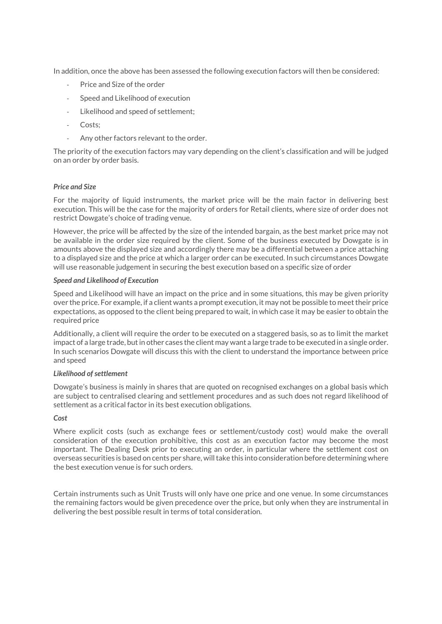In addition, once the above has been assessed the following execution factors will then be considered:

- Price and Size of the order
- Speed and Likelihood of execution
- Likelihood and speed of settlement;
- Costs:
- Any other factors relevant to the order.

The priority of the execution factors may vary depending on the client's classification and will be judged on an order by order basis.

# *Price and Size*

For the majority of liquid instruments, the market price will be the main factor in delivering best execution. This will be the case for the majority of orders for Retail clients, where size of order does not restrict Dowgate's choice of trading venue.

However, the price will be affected by the size of the intended bargain, as the best market price may not be available in the order size required by the client. Some of the business executed by Dowgate is in amounts above the displayed size and accordingly there may be a differential between a price attaching to a displayed size and the price at which a larger order can be executed. In such circumstances Dowgate will use reasonable judgement in securing the best execution based on a specific size of order

## *Speed and Likelihood of Execution*

Speed and Likelihood will have an impact on the price and in some situations, this may be given priority over the price. For example, if a client wants a prompt execution, it may not be possible to meet their price expectations, as opposed to the client being prepared to wait, in which case it may be easier to obtain the required price

Additionally, a client will require the order to be executed on a staggered basis, so as to limit the market impact of a large trade, but in other cases the client may want a large trade to be executed in a single order. In such scenarios Dowgate will discuss this with the client to understand the importance between price and speed

### *Likelihood of settlement*

Dowgate's business is mainly in shares that are quoted on recognised exchanges on a global basis which are subject to centralised clearing and settlement procedures and as such does not regard likelihood of settlement as a critical factor in its best execution obligations.

# *Cost*

Where explicit costs (such as exchange fees or settlement/custody cost) would make the overall consideration of the execution prohibitive, this cost as an execution factor may become the most important. The Dealing Desk prior to executing an order, in particular where the settlement cost on overseas securities is based on cents per share, will take this into consideration before determining where the best execution venue is for such orders.

Certain instruments such as Unit Trusts will only have one price and one venue. In some circumstances the remaining factors would be given precedence over the price, but only when they are instrumental in delivering the best possible result in terms of total consideration.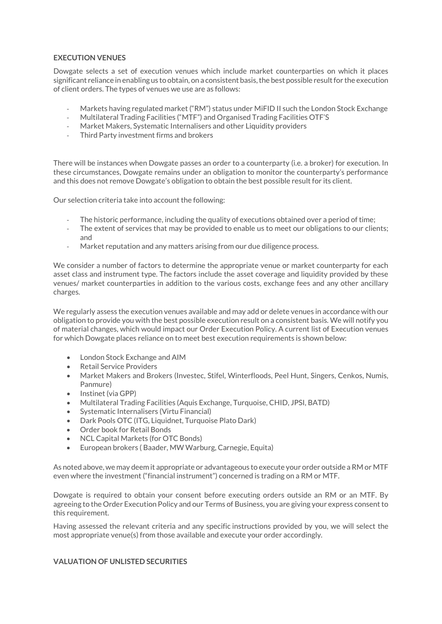# **EXECUTION VENUES**

Dowgate selects a set of execution venues which include market counterparties on which it places significant reliance in enabling us to obtain, on a consistent basis, the best possible result for the execution of client orders. The types of venues we use are as follows:

- Markets having regulated market ("RM") status under MiFID II such the London Stock Exchange
- Multilateral Trading Facilities ("MTF") and Organised Trading Facilities OTF'S
- Market Makers, Systematic Internalisers and other Liquidity providers
- Third Party investment firms and brokers

There will be instances when Dowgate passes an order to a counterparty (i.e. a broker) for execution. In these circumstances, Dowgate remains under an obligation to monitor the counterparty's performance and this does not remove Dowgate's obligation to obtain the best possible result for its client.

Our selection criteria take into account the following:

- The historic performance, including the quality of executions obtained over a period of time;
- The extent of services that may be provided to enable us to meet our obligations to our clients; and
- Market reputation and any matters arising from our due diligence process.

We consider a number of factors to determine the appropriate venue or market counterparty for each asset class and instrument type. The factors include the asset coverage and liquidity provided by these venues/ market counterparties in addition to the various costs, exchange fees and any other ancillary charges.

We regularly assess the execution venues available and may add or delete venues in accordance with our obligation to provide you with the best possible execution result on a consistent basis. We will notify you of material changes, which would impact our Order Execution Policy. A current list of Execution venues for which Dowgate places reliance on to meet best execution requirements is shown below:

- London Stock Exchange and AIM
- Retail Service Providers
- Market Makers and Brokers (Investec, Stifel, Winterfloods, Peel Hunt, Singers, Cenkos, Numis, Panmure)
- Instinet (via GPP)
- Multilateral Trading Facilities (Aquis Exchange, Turquoise, CHID, JPSI, BATD)
- Systematic Internalisers (Virtu Financial)
- Dark Pools OTC (ITG, Liquidnet, Turquoise Plato Dark)
- Order book for Retail Bonds
- NCL Capital Markets (for OTC Bonds)
- European brokers ( Baader, MW Warburg, Carnegie, Equita)

As noted above, we may deem it appropriate or advantageous to execute your order outside a RM or MTF even where the investment ("financial instrument") concerned is trading on a RM or MTF.

Dowgate is required to obtain your consent before executing orders outside an RM or an MTF. By agreeing to the Order Execution Policy and our Terms of Business, you are giving your express consent to this requirement.

Having assessed the relevant criteria and any specific instructions provided by you, we will select the most appropriate venue(s) from those available and execute your order accordingly.

# **VALUATION OF UNLISTED SECURITIES**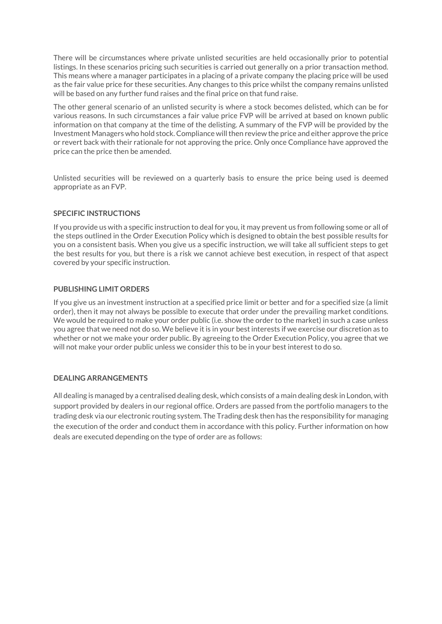There will be circumstances where private unlisted securities are held occasionally prior to potential listings. In these scenarios pricing such securities is carried out generally on a prior transaction method. This means where a manager participates in a placing of a private company the placing price will be used as the fair value price for these securities. Any changes to this price whilst the company remains unlisted will be based on any further fund raises and the final price on that fund raise.

The other general scenario of an unlisted security is where a stock becomes delisted, which can be for various reasons. In such circumstances a fair value price FVP will be arrived at based on known public information on that company at the time of the delisting. A summary of the FVP will be provided by the Investment Managers who hold stock. Compliance will then review the price and either approve the price or revert back with their rationale for not approving the price. Only once Compliance have approved the price can the price then be amended.

Unlisted securities will be reviewed on a quarterly basis to ensure the price being used is deemed appropriate as an FVP.

# **SPECIFIC INSTRUCTIONS**

If you provide us with a specific instruction to deal for you, it may prevent us from following some or all of the steps outlined in the Order Execution Policy which is designed to obtain the best possible results for you on a consistent basis. When you give us a specific instruction, we will take all sufficient steps to get the best results for you, but there is a risk we cannot achieve best execution, in respect of that aspect covered by your specific instruction.

## **PUBLISHING LIMIT ORDERS**

If you give us an investment instruction at a specified price limit or better and for a specified size (a limit order), then it may not always be possible to execute that order under the prevailing market conditions. We would be required to make your order public (i.e. show the order to the market) in such a case unless you agree that we need not do so. We believe it is in your best interests if we exercise our discretion as to whether or not we make your order public. By agreeing to the Order Execution Policy, you agree that we will not make your order public unless we consider this to be in your best interest to do so.

# **DEALING ARRANGEMENTS**

All dealing is managed by a centralised dealing desk, which consists of a main dealing desk in London, with support provided by dealers in our regional office. Orders are passed from the portfolio managers to the trading desk via our electronic routing system. The Trading desk then has the responsibility for managing the execution of the order and conduct them in accordance with this policy. Further information on how deals are executed depending on the type of order are as follows: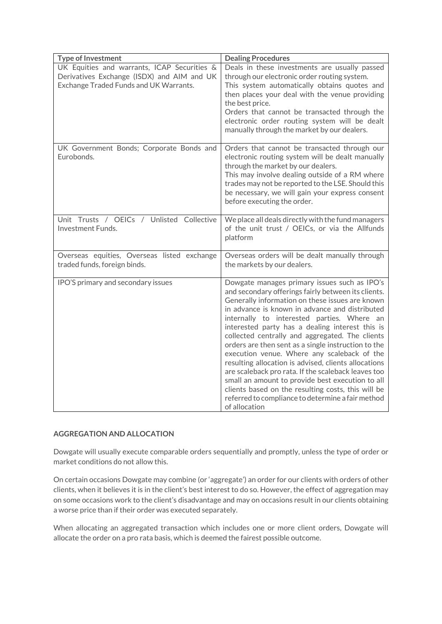| <b>Type of Investment</b>                                                                                                           | <b>Dealing Procedures</b>                                                                                                                                                                                                                                                                                                                                                                                                                                                                                                                                                                                                                                                                                                                                         |  |
|-------------------------------------------------------------------------------------------------------------------------------------|-------------------------------------------------------------------------------------------------------------------------------------------------------------------------------------------------------------------------------------------------------------------------------------------------------------------------------------------------------------------------------------------------------------------------------------------------------------------------------------------------------------------------------------------------------------------------------------------------------------------------------------------------------------------------------------------------------------------------------------------------------------------|--|
| UK Equities and warrants, ICAP Securities &<br>Derivatives Exchange (ISDX) and AIM and UK<br>Exchange Traded Funds and UK Warrants. | Deals in these investments are usually passed<br>through our electronic order routing system.<br>This system automatically obtains quotes and<br>then places your deal with the venue providing<br>the best price.<br>Orders that cannot be transacted through the<br>electronic order routing system will be dealt<br>manually through the market by our dealers.                                                                                                                                                                                                                                                                                                                                                                                                |  |
| UK Government Bonds; Corporate Bonds and<br>Eurobonds.                                                                              | Orders that cannot be transacted through our<br>electronic routing system will be dealt manually<br>through the market by our dealers.<br>This may involve dealing outside of a RM where<br>trades may not be reported to the LSE. Should this<br>be necessary, we will gain your express consent<br>before executing the order.                                                                                                                                                                                                                                                                                                                                                                                                                                  |  |
| Unit Trusts / OEICs / Unlisted Collective<br>Investment Funds.                                                                      | We place all deals directly with the fund managers<br>of the unit trust / OEICs, or via the Allfunds<br>platform                                                                                                                                                                                                                                                                                                                                                                                                                                                                                                                                                                                                                                                  |  |
| Overseas equities, Overseas listed exchange<br>traded funds, foreign binds.                                                         | Overseas orders will be dealt manually through<br>the markets by our dealers.                                                                                                                                                                                                                                                                                                                                                                                                                                                                                                                                                                                                                                                                                     |  |
| IPO'S primary and secondary issues                                                                                                  | Dowgate manages primary issues such as IPO's<br>and secondary offerings fairly between its clients.<br>Generally information on these issues are known<br>in advance is known in advance and distributed<br>internally to interested parties. Where an<br>interested party has a dealing interest this is<br>collected centrally and aggregated. The clients<br>orders are then sent as a single instruction to the<br>execution venue. Where any scaleback of the<br>resulting allocation is advised, clients allocations<br>are scaleback pro rata. If the scaleback leaves too<br>small an amount to provide best execution to all<br>clients based on the resulting costs, this will be<br>referred to compliance to determine a fair method<br>of allocation |  |

# **AGGREGATION AND ALLOCATION**

Dowgate will usually execute comparable orders sequentially and promptly, unless the type of order or market conditions do not allow this.

On certain occasions Dowgate may combine (or 'aggregate') an order for our clients with orders of other clients, when it believes it is in the client's best interest to do so. However, the effect of aggregation may on some occasions work to the client's disadvantage and may on occasions result in our clients obtaining a worse price than if their order was executed separately.

When allocating an aggregated transaction which includes one or more client orders, Dowgate will allocate the order on a pro rata basis, which is deemed the fairest possible outcome.